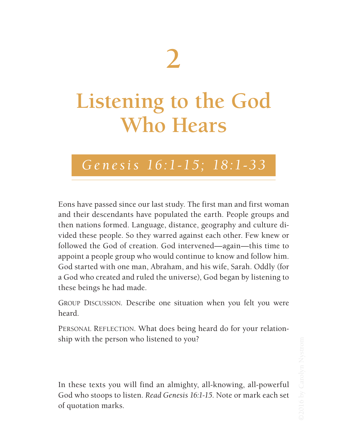## **2**

## **Listening to the God Who Hears**

## *Genesis 16:1-15; 18:1-33*

Eons have passed since our last study. The first man and first woman and their descendants have populated the earth. People groups and then nations formed. Language, distance, geography and culture divided these people. So they warred against each other. Few knew or followed the God of creation. God intervened—again—this time to appoint a people group who would continue to know and follow him. God started with one man, Abraham, and his wife, Sarah. Oddly (for a God who created and ruled the universe), God began by listening to these beings he had made.

GROUP DISCUSSION. Describe one situation when you felt you were heard.

PERSONAL REFLECTION. What does being heard do for your relationship with the person who listened to you?

In these texts you will find an almighty, all-knowing, all-powerful God who stoops to listen. *Read Genesis 16:1-15*. Note or mark each set of quotation marks.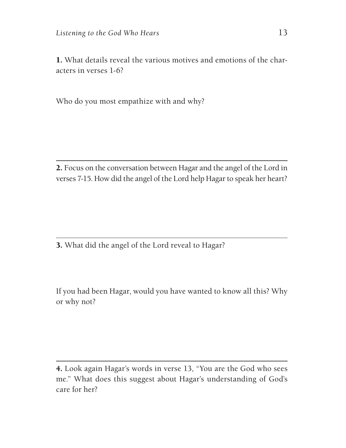1. What details reveal the various motives and emotions of the characters in verses 1-6?

Who do you most empathize with and why?

2. Focus on the conversation between Hagar and the angel of the Lord in verses 7-15. How did the angel of the Lord help Hagar to speak her heart?

3. What did the angel of the Lord reveal to Hagar?

If you had been Hagar, would you have wanted to know all this? Why or why not?

<sup>4.</sup> Look again Hagar's words in verse 13, "You are the God who sees me." What does this suggest about Hagar's understanding of God's care for her?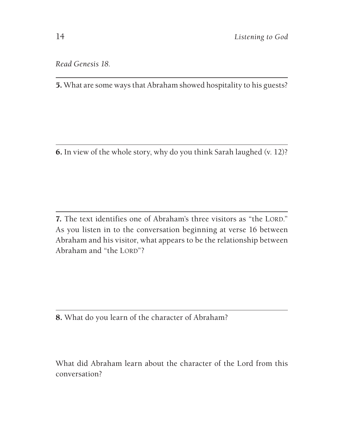*Read Genesis 18.*

5. What are some ways that Abraham showed hospitality to his guests?

6. In view of the whole story, why do you think Sarah laughed (v. 12)?

7. The text identifies one of Abraham's three visitors as "the LORD." As you listen in to the conversation beginning at verse 16 between Abraham and his visitor, what appears to be the relationship between Abraham and "the LORD"?

8. What do you learn of the character of Abraham?

What did Abraham learn about the character of the Lord from this conversation?